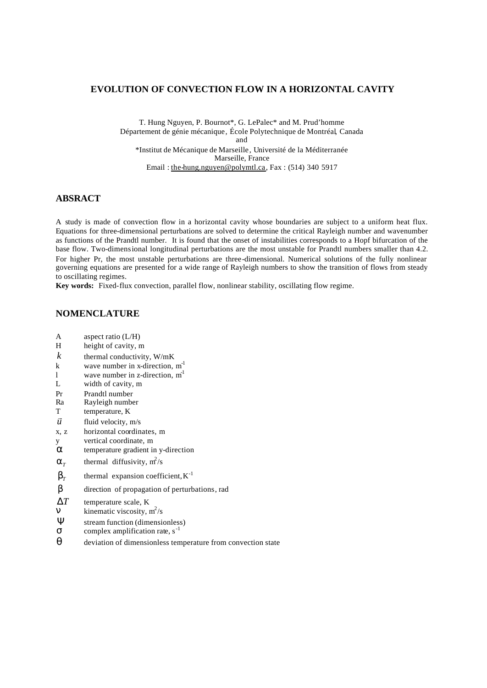### **EVOLUTION OF CONVECTION FLOW IN A HORIZONTAL CAVITY**

T. Hung Nguyen, P. Bournot\*, G. LePalec\* and M. Prud'homme Département de génie mécanique, École Polytechnique de Montréal, Canada and \*Institut de Mécanique de Marseille, Université de la Méditerranée Marseille, France Email : the-hung.nguyen@polymtl.ca, Fax : (514) 340 5917

### **ABSRACT**

A study is made of convection flow in a horizontal cavity whose boundaries are subject to a uniform heat flux. Equations for three-dimensional perturbations are solved to determine the critical Rayleigh number and wavenumber as functions of the Prandtl number. It is found that the onset of instabilities corresponds to a Hopf bifurcation of the base flow. Two-dimensional longitudinal perturbations are the most unstable for Prandtl numbers smaller than 4.2. For higher Pr, the most unstable perturbations are three-dimensional. Numerical solutions of the fully nonlinear governing equations are presented for a wide range of Rayleigh numbers to show the transition of flows from steady to oscillating regimes.

**Key words:** Fixed-flux convection, parallel flow, nonlinear stability, oscillating flow regime.

# **NOMENCLATURE**

- A aspect ratio (L/H)
- H height of cavity, m
- *k* thermal conductivity,  $W/mK$
- k wave number in x-direction,  $m<sup>-1</sup>$
- l wave number in z-direction,  $m<sup>1</sup>$
- L width of cavity, m
- Pr Prandtl number
- Ra Rayleigh number
- T temperature, K
- *u* r fluid velocity, m/s
- x, z horizontal coordinates, m
- y vertical coordinate, m
- *a* temperature gradient in y-direction
- $a_r$ thermal diffusivity,  $m^2/s$
- $b_{\tau}$ thermal expansion coefficient,  $K^{-1}$
- *b* direction of propagation of perturbations, rad

Δ*T* temperature scale, K

 $\vec{n}$  kinematic viscosity,  $m^2/s$ 

- **Ψ** stream function (dimensionless)<br>
complex amplification rate,  $s^{-1}$
- complex amplification rate, s<sup>-1</sup>
- *q* deviation of dimensionless temperature from convection state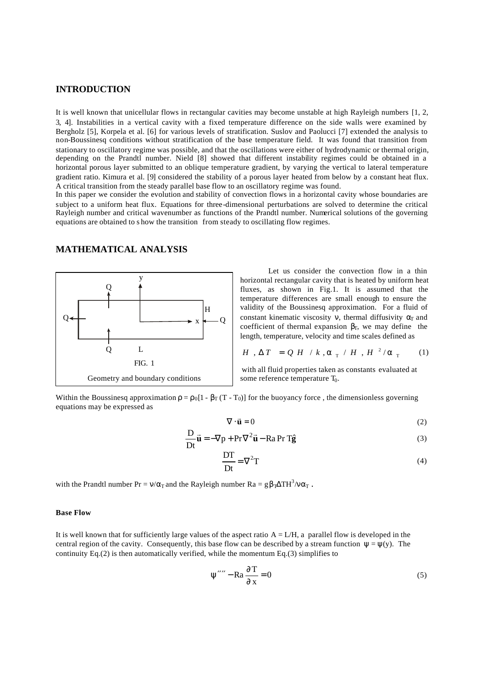### **INTRODUCTION**

It is well known that unicellular flows in rectangular cavities may become unstable at high Rayleigh numbers [1, 2, 3, 4]. Instabilities in a vertical cavity with a fixed temperature difference on the side walls were examined by Bergholz [5], Korpela et al. [6] for various levels of stratification. Suslov and Paolucci [7] extended the analysis to non-Boussinesq conditions without stratification of the base temperature field. It was found that transition from stationary to oscillatory regime was possible, and that the oscillations were either of hydrodynamic or thermal origin, depending on the Prandtl number. Nield [8] showed that different instability regimes could be obtained in a horizontal porous layer submitted to an oblique temperature gradient, by varying the vertical to lateral temperature gradient ratio. Kimura et al. [9] considered the stability of a porous layer heated from below by a constant heat flux. A critical transition from the steady parallel base flow to an oscillatory regime was found.

In this paper we consider the evolution and stability of convection flows in a horizontal cavity whose boundaries are subject to a uniform heat flux. Equations for three-dimensional perturbations are solved to determine the critical Rayleigh number and critical wavenumber as functions of the Prandtl number. Numerical solutions of the governing equations are obtained to s how the transition from steady to oscillating flow regimes.

# Q Q  $Q \leftarrow \longrightarrow x \longleftarrow Q$ L x y H FIG. 1 Geometry and boundary conditions

### **MATHEMATICAL ANALYSIS**

Let us consider the convection flow in a thin horizontal rectangular cavity that is heated by uniform heat fluxes, as shown in Fig.1. It is assumed that the temperature differences are small enough to ensure the validity of the Boussinesq approximation. For a fluid of constant kinematic viscosity v, thermal diffusivity  $\alpha_T$  and coefficient of thermal expansion  $\beta_T$ , we may define the length, temperature, velocity and time scales defined as

$$
H, \Delta T = Q H / k, \mathbf{a}_{T} / H, H^{2}/\mathbf{a}_{T} (1)
$$

 with all fluid properties taken as constants evaluated at some reference temperature  $T_0$ .

Within the Boussinesq approximation  $\rho = \rho_0[1 - \beta_T(T - T_0)]$  for the buoyancy force, the dimensionless governing equations may be expressed as

$$
\nabla \cdot \vec{\mathbf{u}} = 0 \tag{2}
$$

$$
\frac{\mathbf{D}}{\mathbf{D}t}\vec{\mathbf{u}} = -\nabla p + \mathbf{Pr}\nabla^2 \vec{\mathbf{u}} - \mathbf{Ra} \mathbf{Pr} \mathbf{T} \hat{\mathbf{g}} \tag{3}
$$

$$
\frac{DT}{Dt} = \nabla^2 T \tag{4}
$$

with the Prandtl number  $Pr = v/\alpha_T$  and the Rayleigh number  $Ra = g\beta_T\Delta TH^3/v\alpha_T$ .

#### **Base Flow**

It is well known that for sufficiently large values of the aspect ratio  $A = L/H$ , a parallel flow is developed in the central region of the cavity. Consequently, this base flow can be described by a stream function  $\psi = \psi(y)$ . The continuity Eq.(2) is then automatically verified, while the momentum Eq.(3) simplifies to

$$
\Psi''' - \text{Ra}\,\frac{\partial \,\text{T}}{\partial \,\text{x}} = 0\tag{5}
$$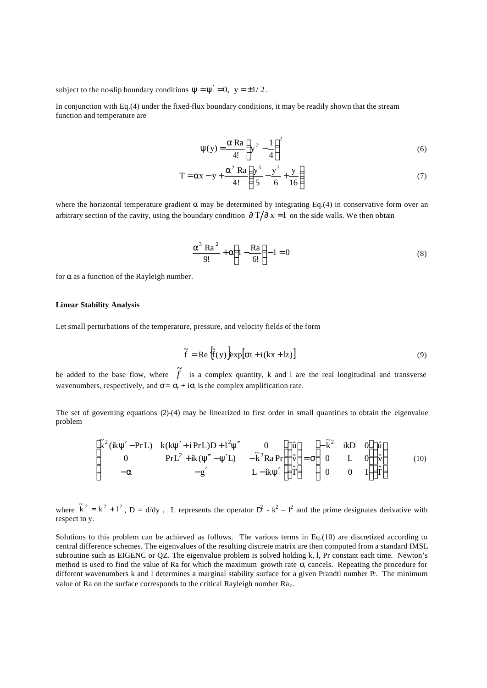subject to the no-slip boundary conditions  $\psi = \psi' = 0$ ,  $y = \pm 1/2$ .

In conjunction with Eq.(4) under the fixed-flux boundary conditions, it may be readily shown that the stream function and temperature are

$$
\psi(y) = \frac{\alpha \operatorname{Ra}}{4!} \left( y^2 - \frac{1}{4} \right)^2 \tag{6}
$$

$$
T = \alpha x - y + \frac{\alpha^2 \text{ Ra}}{4!} \left( \frac{y^5}{5} - \frac{y^3}{6} + \frac{y}{16} \right)
$$
 (7)

where the horizontal temperature gradient  $\alpha$  may be determined by integrating Eq.(4) in conservative form over an arbitrary section of the cavity, using the boundary condition  $\frac{\partial T}{\partial x} = 1$  on the side walls. We then obtain

$$
\frac{\alpha^3 \text{ Ra}^2}{9!} + \alpha \left( 1 - \frac{\text{Ra}}{6!} \right) - 1 = 0
$$
 (8)

for  $\alpha$  as a function of the Rayleigh number.

#### **Linear Stability Analysis**

Let small perturbations of the temperature, pressure, and velocity fields of the form

$$
\tilde{f} = Re \left\{ \hat{f}(y) \right\} exp[ \sigma t + i(kx + kz) \right]
$$
\n(9)

be added to the base flow, where  $\tilde{f}$  is a complex quantity, k and l are the real longitudinal and transverse wavenumbers, respectively, and  $\sigma = \sigma_r + i\sigma_i$  is the complex amplification rate.

The set of governing equations (2)-(4) may be linearized to first order in small quantities to obtain the eigenvalue problem

$$
\begin{bmatrix}\n\tilde{k}^{2}(\mathbf{i}k\psi'-\mathbf{Pr}L) & \mathbf{k}(k\psi'+\mathbf{i}\mathbf{Pr}L)\mathbf{D}+\mathbf{1}^{2}\psi'' & 0 \\
0 & \mathbf{Pr}L^{2}+\mathbf{i}k(\psi''-\psi'L) & -\tilde{k}^{2}\mathbf{R}a\mathbf{Pr}\n\end{bmatrix}\n\begin{bmatrix}\n\hat{u} \\
\hat{v} \\
\hat{v} \\
0\n\end{bmatrix} = \sigma \begin{bmatrix}\n-\tilde{k}^{2} & \mathbf{i}k\mathbf{D} & 0 \\
0 & L & 0 \\
0 & 0 & 1\n\end{bmatrix}\n\begin{bmatrix}\n\hat{u} \\
\hat{v} \\
\hat{r}\n\end{bmatrix}
$$
\n(10)

where  $\tilde{k}^2 = k^2 + l^2$ ,  $D = d/dy$ , L represents the operator  $D^2 - k^2 - l^2$  and the prime designates derivative with respect to y.

Solutions to this problem can be achieved as follows. The various terms in Eq.(10) are discretized according to central difference schemes. The eigenvalues of the resulting discrete matrix are then computed from a standard IMSL subroutine such as EIGENC or QZ. The eigenvalue problem is solved holding k, l, Pr constant each time. Newton's method is used to find the value of Ra for which the maximum growth rate  $\sigma_r$  cancels. Repeating the procedure for different wavenumbers k and l determines a marginal stability surface for a given Prandtl number Pr. The minimum value of Ra on the surface corresponds to the critical Rayleigh number  $Ra_c$ .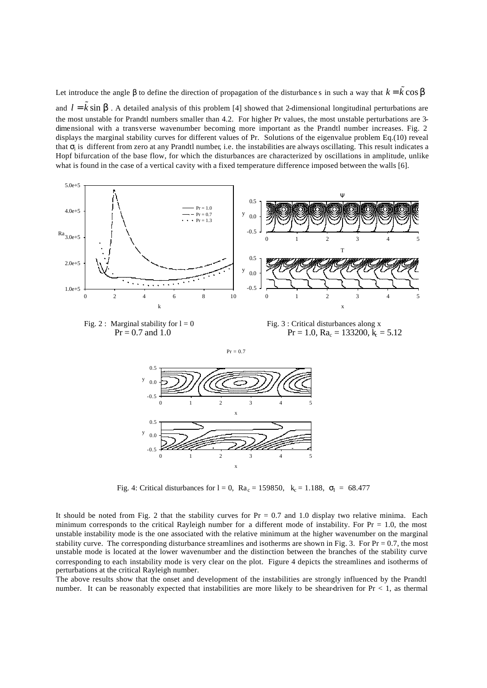Let introduce the angle  $\beta$  to define the direction of propagation of the disturbances in such a way that  $k = \tilde{k} \cos \bm{b}$ and  $l = \tilde{k} \sin \mathbf{b}$ . A detailed analysis of this problem [4] showed that 2-dimensional longitudinal perturbations are the most unstable for Prandtl numbers smaller than 4.2. For higher Pr values, the most unstable perturbations are 3 dimensional with a transverse wavenumber becoming more important as the Prandtl number increases. Fig. 2 displays the marginal stability curves for different values of Pr. Solutions of the eigenvalue problem Eq.(10) reveal that  $\sigma_i$  is different from zero at any Prandtl number, i.e. the instabilities are always oscillating. This result indicates a Hopf bifurcation of the base flow, for which the disturbances are characterized by oscillations in amplitude, unlike what is found in the case of a vertical cavity with a fixed temperature difference imposed between the walls [6].





 $= 133200, k<sub>e</sub> = 5.12$ 



Fig. 4: Critical disturbances for  $l = 0$ ,  $Ra_c = 159850$ ,  $k_c = 1.188$ ,  $\sigma_l = 68.477$ 

It should be noted from Fig. 2 that the stability curves for  $Pr = 0.7$  and 1.0 display two relative minima. Each minimum corresponds to the critical Rayleigh number for a different mode of instability. For  $Pr = 1.0$ , the most unstable instability mode is the one associated with the relative minimum at the higher wavenumber on the marginal stability curve. The corresponding disturbance streamlines and isotherms are shown in Fig. 3. For  $Pr = 0.7$ , the most unstable mode is located at the lower wavenumber and the distinction between the branches of the stability curve corresponding to each instability mode is very clear on the plot. Figure 4 depicts the streamlines and isotherms of perturbations at the critical Rayleigh number.

The above results show that the onset and development of the instabilities are strongly influenced by the Prandtl number. It can be reasonably expected that instabilities are more likely to be shear-driven for Pr < 1, as thermal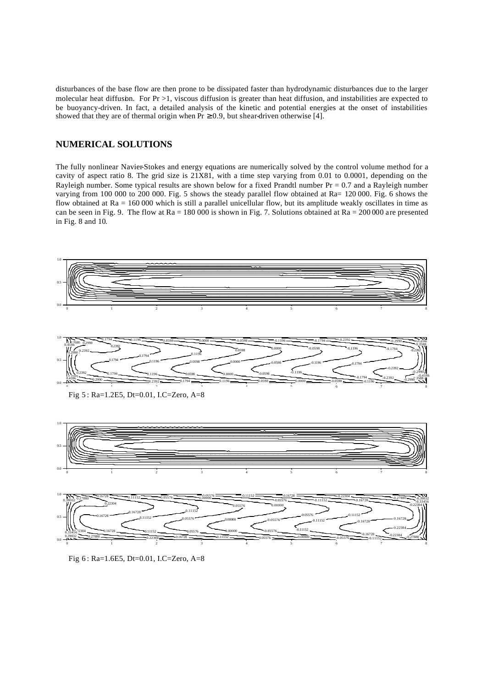disturbances of the base flow are then prone to be dissipated faster than hydrodynamic disturbances due to the larger molecular heat diffusion. For  $Pr > 1$ , viscous diffusion is greater than heat diffusion, and instabilities are expected to be buoyancy-driven. In fact, a detailed analysis of the kinetic and potential energies at the onset of instabilities showed that they are of thermal origin when  $Pr \ge 0.9$ , but shear-driven otherwise [4].

# **NUMERICAL SOLUTIONS**

The fully nonlinear Navier-Stokes and energy equations are numerically solved by the control volume method for a cavity of aspect ratio 8. The grid size is 21X81, with a time step varying from 0.01 to 0.0001, depending on the Rayleigh number. Some typical results are shown below for a fixed Prandtl number  $Pr = 0.7$  and a Rayleigh number varying from 100 000 to 200 000. Fig. 5 shows the steady parallel flow obtained at Ra= 120 000. Fig. 6 shows the flow obtained at  $Ra = 160 000$  which is still a parallel unicellular flow, but its amplitude weakly oscillates in time as can be seen in Fig. 9. The flow at  $Ra = 180,000$  is shown in Fig. 7. Solutions obtained at  $Ra = 200,000$  are presented in Fig. 8 and 10.



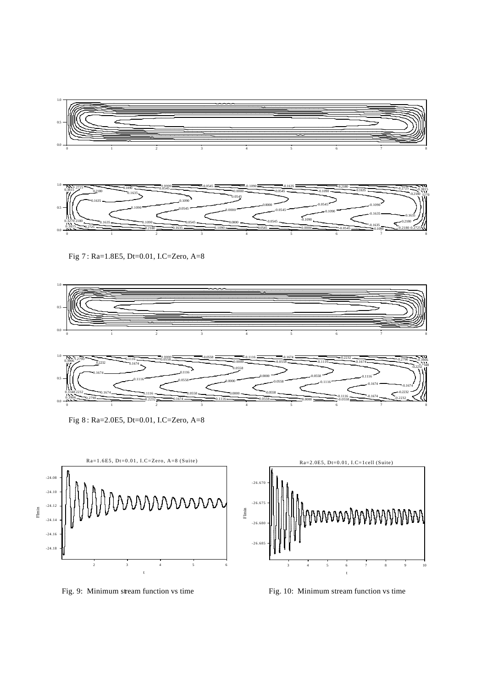









Fig 8 : Ra=2.0E5, Dt=0.01, I.C=Zero, A=8





Fig. 9: Minimum stream function vs time Fig. 10: Minimum stream function vs time